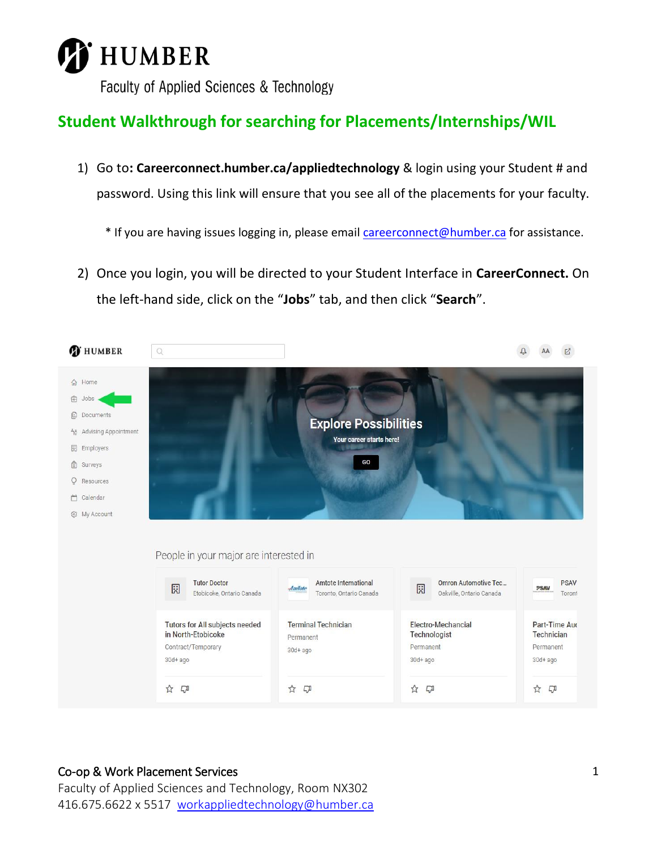

# **Student Walkthrough for searching for Placements/Internships/WIL**

1) Go to**: Careerconnect.humber.ca/appliedtechnology** & login using your Student # and password. Using this link will ensure that you see all of the placements for your faculty.

\* If you are having issues logging in, please email [careerconnect@humber.ca](mailto:careerconnect@humber.ca) for assistance.

2) Once you login, you will be directed to your Student Interface in **CareerConnect.** On the left-hand side, click on the "**Jobs**" tab, and then click "**Search**".



#### Co-op & Work Placement Services

Faculty of Applied Sciences and Technology, Room NX302 416.675.6622 x 5517 [workappliedtechnology@humber.ca](mailto:workappliedtechnology@humber.ca)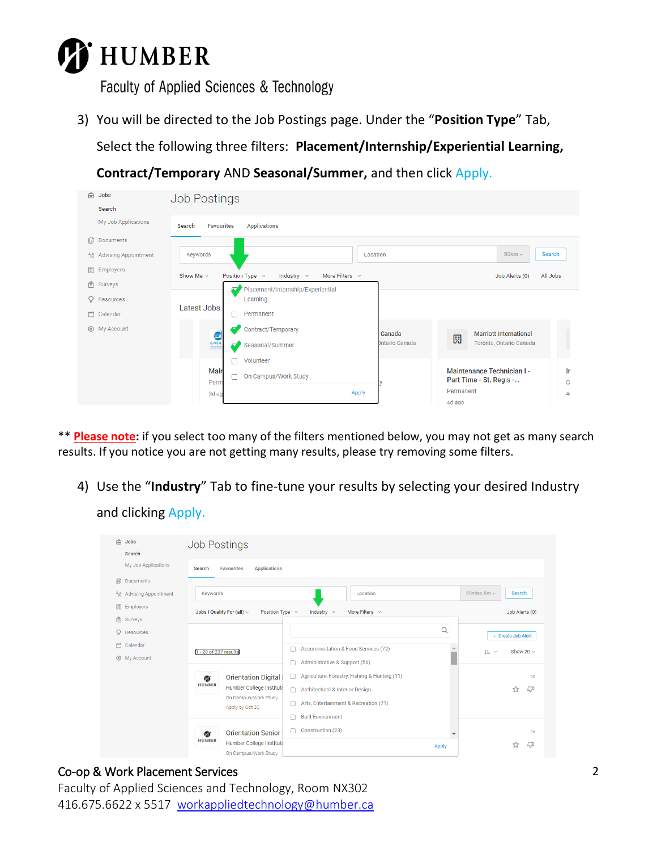

3) You will be directed to the Job Postings page. Under the "**Position Type**" Tab,

Select the following three filters: **Placement/Internship/Experiential Learning,** 

**Contract/Temporary** AND **Seasonal/Summer,** and then click Apply.

| க்      | Jobs                                 | <b>Job Postings</b>                |                                                                |       |                                                       |                               |                |                |
|---------|--------------------------------------|------------------------------------|----------------------------------------------------------------|-------|-------------------------------------------------------|-------------------------------|----------------|----------------|
|         | Search                               |                                    |                                                                |       |                                                       |                               |                |                |
|         | My Job Applications                  | <b>Favourites</b><br>Search        | <b>Applications</b>                                            |       |                                                       |                               |                |                |
| ß       | Documents                            |                                    |                                                                |       |                                                       |                               |                |                |
|         | ቶ <sub>ιδ</sub> Advising Appointment | Keywords                           |                                                                |       | Location                                              |                               | $50km -$       | Search         |
| 園       | Employers                            | Show Me $\sim$                     | Position Type $\sim$<br>More Filters $\sim$<br>Industry $\sim$ |       |                                                       |                               | Job Alerts (0) | All Jobs       |
| ſ≘ı     | Surveys                              | $\overline{\phantom{a}}$           | Placement/Internship/Experiential                              |       |                                                       |                               |                |                |
| $\circ$ | Resources                            |                                    | Learning                                                       |       |                                                       |                               |                |                |
| m       | Calendar                             | Latest Jobs<br>⊓                   | Permanent                                                      |       |                                                       |                               |                |                |
|         | @ My Account                         | ≂<br>€                             | Contract/Temporary                                             |       | Canada                                                | <b>Marriott International</b> |                |                |
|         |                                      | GIVE &<br>$\overline{\phantom{a}}$ | Seasonal/Summer                                                |       | Intario Canada                                        | 園<br>Toronto, Ontario Canada  |                |                |
|         |                                      |                                    | Volunteer                                                      |       |                                                       |                               |                |                |
|         |                                      | Mair<br>┌<br>Perm                  | On Campus/Work Study                                           |       | Maintenance Technician I -<br>Part Time - St. Regis - |                               | Ir<br>c        |                |
|         |                                      | 3d ag                              |                                                                | Apply |                                                       | Permanent                     |                | 4 <sub>0</sub> |
|         |                                      |                                    |                                                                |       |                                                       | 4d ago                        |                |                |

\*\* **Please note:** if you select too many of the filters mentioned below, you may not get as many search results. If you notice you are not getting many results, please try removing some filters.

4) Use the "**Industry**" Tab to fine-tune your results by selecting your desired Industry

### and clicking Apply.

| क्री<br>Jobs                       | <b>Job Postings</b>                                                                                                 |                                                    |                          |                                    |  |
|------------------------------------|---------------------------------------------------------------------------------------------------------------------|----------------------------------------------------|--------------------------|------------------------------------|--|
| Search                             |                                                                                                                     |                                                    |                          |                                    |  |
| My Job Applications                | <b>Favourites</b><br><b>Applications</b><br><b>Search</b>                                                           |                                                    |                          |                                    |  |
| 旧<br>Documents                     |                                                                                                                     |                                                    |                          |                                    |  |
| <b>Advising Appointment</b><br>ేరి | Keywords                                                                                                            | Location                                           |                          | 50 $m$ isc.Km $-$<br><b>Search</b> |  |
| 園<br>Employers                     | Jobs I Qualify For (all) $\vee$<br>More Filters $\sim$<br>Job Alerts (0)<br>Position Type $\sim$<br>Industry $\sim$ |                                                    |                          |                                    |  |
| $\mathbb{P}$<br>Surveys            |                                                                                                                     |                                                    |                          |                                    |  |
| Resources                          |                                                                                                                     |                                                    | $\alpha$                 | + Create Job Alert                 |  |
| Calendar                           | 1 - 20 of 237 results                                                                                               | Accommodation & Food Services (72)                 |                          | Show 20 $\sim$<br>IE ×             |  |
| @ My Account                       |                                                                                                                     | Administrative & Support (56)                      |                          |                                    |  |
|                                    | <b>Orientation Digital</b><br>Ø.                                                                                    | Agriculture, Forestry, Fishing & Hunting (11)<br>□ |                          | 1 <sub>d</sub>                     |  |
|                                    | <b>HUMBER</b><br>Humber College Institute                                                                           | Architectural & Interior Design<br>□               |                          | ☆<br>LJI                           |  |
|                                    | On Campus/Work Study                                                                                                | Arts, Entertainment & Recreation (71)              |                          |                                    |  |
|                                    | Apply by Oct 30                                                                                                     | <b>Built Environment</b>                           |                          |                                    |  |
|                                    |                                                                                                                     |                                                    |                          |                                    |  |
|                                    | <b>Orientation Senior</b><br>Ø.<br><b>HUMBER</b>                                                                    | Construction (23)                                  | $\overline{\phantom{a}}$ | 1 <sub>d</sub>                     |  |
|                                    | Humber College Institute<br>On Campus/Work Study                                                                    |                                                    | <b>Apply</b>             | <b>LT</b><br>ኚፖ                    |  |

#### Co-op & Work Placement Services

Faculty of Applied Sciences and Technology, Room NX302 416.675.6622 x 5517 [workappliedtechnology@humber.ca](mailto:workappliedtechnology@humber.ca)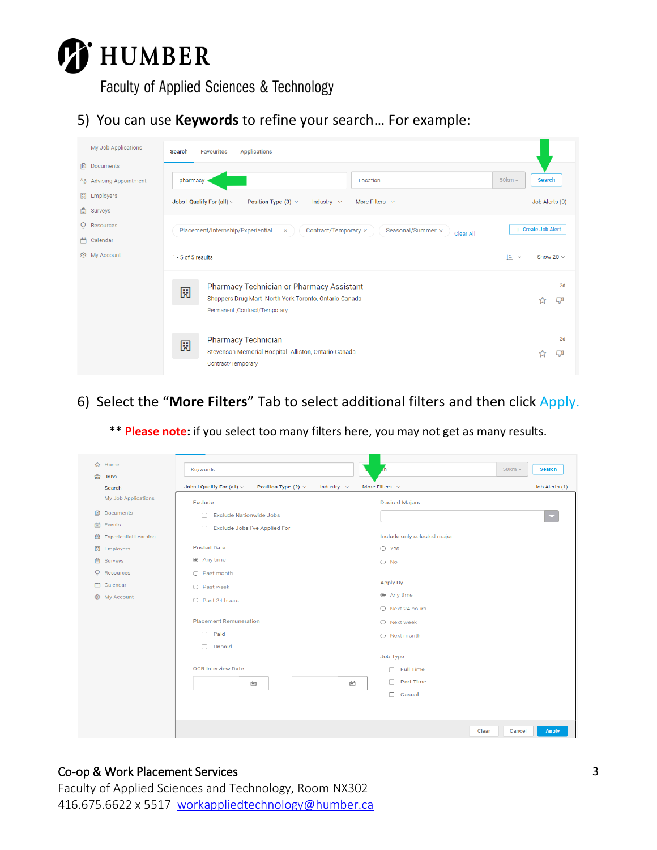

5) You can use **Keywords** to refine your search… For example:

| My Job Applications     | <b>Applications</b><br><b>Favourites</b><br>Search                                                                                         |                      |  |  |  |
|-------------------------|--------------------------------------------------------------------------------------------------------------------------------------------|----------------------|--|--|--|
| <b>Documents</b>        |                                                                                                                                            |                      |  |  |  |
| ጓឹ Advising Appointment | pharmacy<br>Location                                                                                                                       | $50km -$<br>Search   |  |  |  |
| <b>開</b> Employers      | Jobs I Qualify For (all) $\sim$<br>Position Type (3) $\vee$<br>Industry $\sim$<br>More Filters $\sim$                                      | Job Alerts (0)       |  |  |  |
| Surveys                 |                                                                                                                                            |                      |  |  |  |
| Q Resources             | + Create Job Alert<br>Placement/Internship/Experiential  x<br>Contract/Temporary ×<br>Seasonal/Summer ×<br>Clear All                       |                      |  |  |  |
| 门 Calendar              |                                                                                                                                            |                      |  |  |  |
| @ My Account            | $1 - 5$ of 5 results                                                                                                                       | 上。<br>Show 20 $\sim$ |  |  |  |
|                         | Pharmacy Technician or Pharmacy Assistant<br>圆<br>Shoppers Drug Mart- North York Toronto, Ontario Canada<br>Permanent , Contract/Temporary | 2d<br><b>C</b><br>☆  |  |  |  |
|                         | <b>Pharmacy Technician</b><br>園<br>Stevenson Memorial Hospital-Alliston, Ontario Canada<br>Contract/Temporary                              | 2d                   |  |  |  |

6) Select the "**More Filters**" Tab to select additional filters and then click Apply.

\*\* **Please note:** if you select too many filters here, you may not get as many results.

|         | <b>命</b> Home                | Keywords                                                                         | $50km -$                    | <b>Search</b>  |
|---------|------------------------------|----------------------------------------------------------------------------------|-----------------------------|----------------|
| 夁       | <b>Jobs</b>                  |                                                                                  |                             |                |
|         | Search                       | Jobs I Qualify For (all) $\vee$<br>Position Type $(2)$ $\vee$<br>Industry $\sim$ | More Filters $\sim$         | Job Alerts (1) |
|         | My Job Applications          | Exclude                                                                          | <b>Desired Majors</b>       |                |
|         | <b>B</b> Documents           | <b>Exclude Nationwide Jobs</b><br>n                                              |                             |                |
| 曲       | Events                       | Exclude Jobs I've Applied For<br>⊓                                               |                             |                |
| 圇       | <b>Experiential Learning</b> |                                                                                  | Include only selected major |                |
|         | 园 Employers                  | <b>Posted Date</b>                                                               | $O$ Yes                     |                |
|         | <b>自 Surveys</b>             | Any time                                                                         | $O$ No                      |                |
| $\circ$ | Resources                    | O Past month                                                                     |                             |                |
|         | □ Calendar                   | O Past week                                                                      | Apply By                    |                |
|         | @ My Account                 | O Past 24 hours                                                                  | ● Any time                  |                |
|         |                              |                                                                                  | O Next 24 hours             |                |
|         |                              | <b>Placement Remuneration</b>                                                    | $O$ Next week               |                |
|         |                              | Paid<br>$\Box$                                                                   | $\bigcirc$ Next month       |                |
|         |                              | □ Unpaid                                                                         |                             |                |
|         |                              |                                                                                  | Job Type                    |                |
|         |                              | <b>OCR Interview Date</b>                                                        | $\Box$ Full Time            |                |
|         |                              | 甴<br>甴<br>٠                                                                      | Part Time<br>n.             |                |
|         |                              |                                                                                  | Casual<br>$\Box$            |                |
|         |                              |                                                                                  |                             |                |
|         |                              |                                                                                  |                             |                |
|         |                              |                                                                                  | Clear<br>Cancel             | <b>Apply</b>   |

#### Co-op & Work Placement Services

Faculty of Applied Sciences and Technology, Room NX302 416.675.6622 x 5517 [workappliedtechnology@humber.ca](mailto:workappliedtechnology@humber.ca)